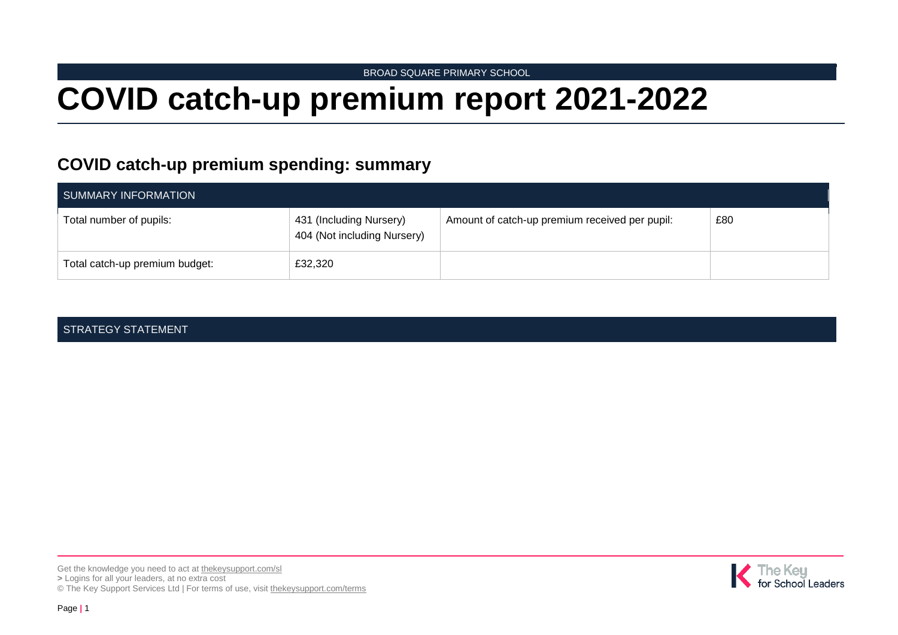BROAD SQUARE PRIMARY SCHOOL

# **COVID catch-up premium report 2021-2022**

## **COVID catch-up premium spending: summary**

| SUMMARY INFORMATION            |                                                        |                                                |     |  |
|--------------------------------|--------------------------------------------------------|------------------------------------------------|-----|--|
| Total number of pupils:        | 431 (Including Nursery)<br>404 (Not including Nursery) | Amount of catch-up premium received per pupil: | £80 |  |
| Total catch-up premium budget: | £32,320                                                |                                                |     |  |

#### STRATEGY STATEMENT

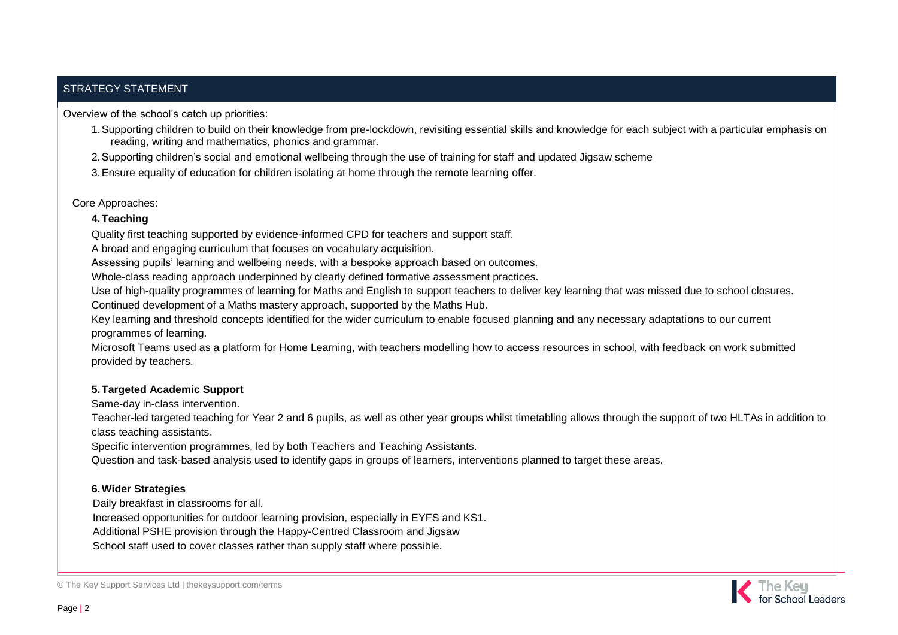#### STRATEGY STATEMENT

Overview of the school's catch up priorities:

- 1.Supporting children to build on their knowledge from pre-lockdown, revisiting essential skills and knowledge for each subject with a particular emphasis on reading, writing and mathematics, phonics and grammar.
- 2.Supporting children's social and emotional wellbeing through the use of training for staff and updated Jigsaw scheme
- 3.Ensure equality of education for children isolating at home through the remote learning offer.

#### Core Approaches:

#### **4.Teaching**

Quality first teaching supported by evidence-informed CPD for teachers and support staff.

A broad and engaging curriculum that focuses on vocabulary acquisition.

Assessing pupils' learning and wellbeing needs, with a bespoke approach based on outcomes.

Whole-class reading approach underpinned by clearly defined formative assessment practices.

Use of high-quality programmes of learning for Maths and English to support teachers to deliver key learning that was missed due to school closures. Continued development of a Maths mastery approach, supported by the Maths Hub.

Key learning and threshold concepts identified for the wider curriculum to enable focused planning and any necessary adaptations to our current programmes of learning.

Microsoft Teams used as a platform for Home Learning, with teachers modelling how to access resources in school, with feedback on work submitted provided by teachers.

#### **5.Targeted Academic Support**

Same-day in-class intervention.

Teacher-led targeted teaching for Year 2 and 6 pupils, as well as other year groups whilst timetabling allows through the support of two HLTAs in addition to class teaching assistants.

Specific intervention programmes, led by both Teachers and Teaching Assistants.

Question and task-based analysis used to identify gaps in groups of learners, interventions planned to target these areas.

#### **6.Wider Strategies**

Daily breakfast in classrooms for all.

Increased opportunities for outdoor learning provision, especially in EYFS and KS1.

Additional PSHE provision through the Happy-Centred Classroom and Jigsaw

School staff used to cover classes rather than supply staff where possible.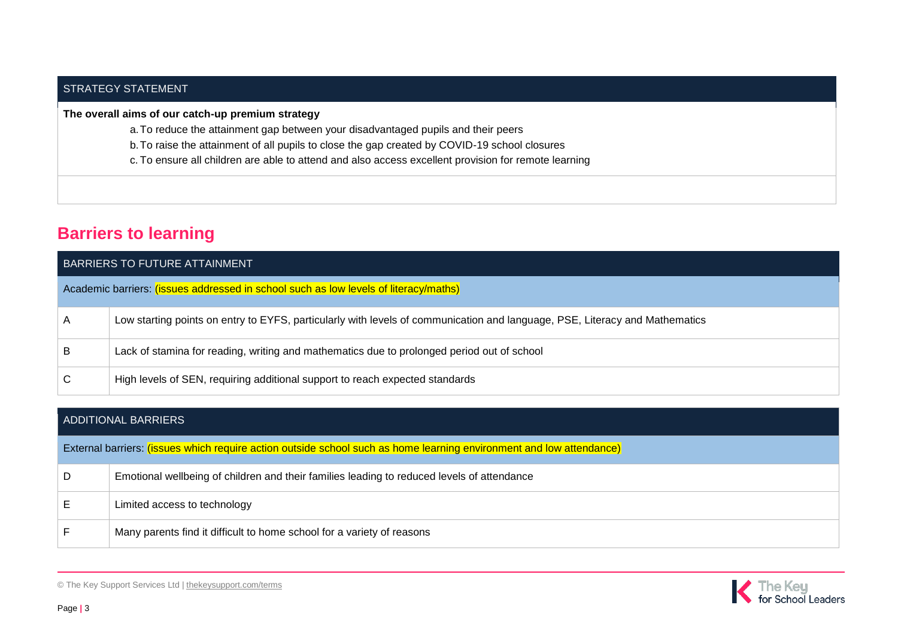#### STRATEGY STATEMENT

#### **The overall aims of our catch-up premium strategy**

- a.To reduce the attainment gap between your disadvantaged pupils and their peers
- b.To raise the attainment of all pupils to close the gap created by COVID-19 school closures
- c. To ensure all children are able to attend and also access excellent provision for remote learning

## **Barriers to learning**

| BARRIERS TO FUTURE ATTAINMENT                                                        |                                                                                                                             |  |  |
|--------------------------------------------------------------------------------------|-----------------------------------------------------------------------------------------------------------------------------|--|--|
| Academic barriers: (issues addressed in school such as low levels of literacy/maths) |                                                                                                                             |  |  |
| A                                                                                    | Low starting points on entry to EYFS, particularly with levels of communication and language, PSE, Literacy and Mathematics |  |  |
| B                                                                                    | Lack of stamina for reading, writing and mathematics due to prolonged period out of school                                  |  |  |
| C                                                                                    | High levels of SEN, requiring additional support to reach expected standards                                                |  |  |

| <b>ADDITIONAL BARRIERS</b> |                                                                                                                      |  |  |
|----------------------------|----------------------------------------------------------------------------------------------------------------------|--|--|
|                            | External barriers: (issues which require action outside school such as home learning environment and low attendance) |  |  |
| D                          | Emotional wellbeing of children and their families leading to reduced levels of attendance                           |  |  |
| Е                          | Limited access to technology                                                                                         |  |  |
| E                          | Many parents find it difficult to home school for a variety of reasons                                               |  |  |

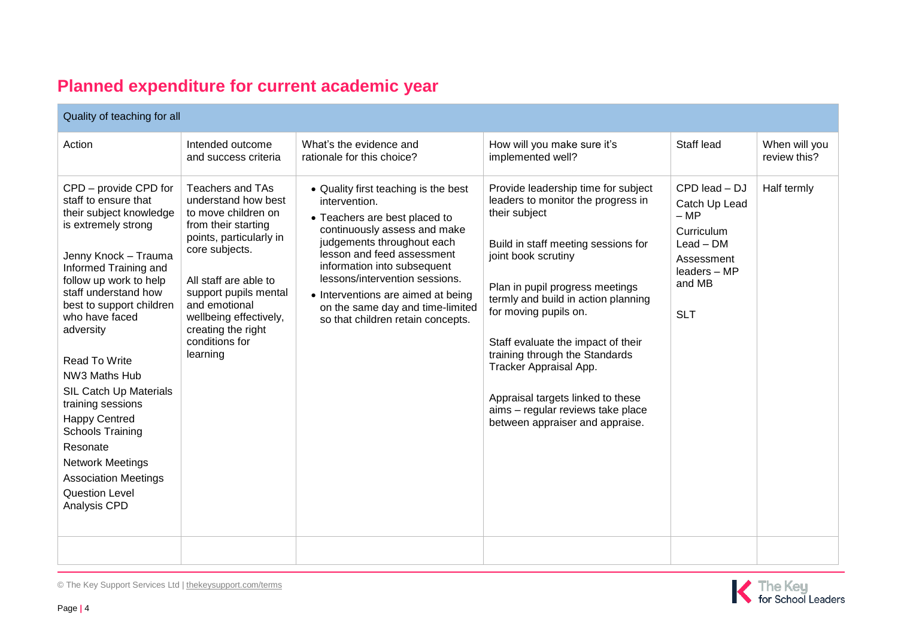## **Planned expenditure for current academic year**

| Quality of teaching for all                                                                                                                                                                                                                                                                                                                                                                                                                                                                                             |                                                                                                                                                                                                                                                                                            |                                                                                                                                                                                                                                                                                                                                                                    |                                                                                                                                                                                                                                                                                                                                                                                                                                                                            |                                                                                                                          |                               |  |
|-------------------------------------------------------------------------------------------------------------------------------------------------------------------------------------------------------------------------------------------------------------------------------------------------------------------------------------------------------------------------------------------------------------------------------------------------------------------------------------------------------------------------|--------------------------------------------------------------------------------------------------------------------------------------------------------------------------------------------------------------------------------------------------------------------------------------------|--------------------------------------------------------------------------------------------------------------------------------------------------------------------------------------------------------------------------------------------------------------------------------------------------------------------------------------------------------------------|----------------------------------------------------------------------------------------------------------------------------------------------------------------------------------------------------------------------------------------------------------------------------------------------------------------------------------------------------------------------------------------------------------------------------------------------------------------------------|--------------------------------------------------------------------------------------------------------------------------|-------------------------------|--|
| Action                                                                                                                                                                                                                                                                                                                                                                                                                                                                                                                  | Intended outcome<br>and success criteria                                                                                                                                                                                                                                                   | What's the evidence and<br>rationale for this choice?                                                                                                                                                                                                                                                                                                              | How will you make sure it's<br>implemented well?                                                                                                                                                                                                                                                                                                                                                                                                                           | Staff lead                                                                                                               | When will you<br>review this? |  |
| CPD - provide CPD for<br>staff to ensure that<br>their subject knowledge<br>is extremely strong<br>Jenny Knock - Trauma<br>Informed Training and<br>follow up work to help<br>staff understand how<br>best to support children<br>who have faced<br>adversity<br>Read To Write<br>NW3 Maths Hub<br><b>SIL Catch Up Materials</b><br>training sessions<br><b>Happy Centred</b><br><b>Schools Training</b><br>Resonate<br><b>Network Meetings</b><br><b>Association Meetings</b><br><b>Question Level</b><br>Analysis CPD | <b>Teachers and TAs</b><br>understand how best<br>to move children on<br>from their starting<br>points, particularly in<br>core subjects.<br>All staff are able to<br>support pupils mental<br>and emotional<br>wellbeing effectively,<br>creating the right<br>conditions for<br>learning | • Quality first teaching is the best<br>intervention.<br>• Teachers are best placed to<br>continuously assess and make<br>judgements throughout each<br>lesson and feed assessment<br>information into subsequent<br>lessons/intervention sessions.<br>• Interventions are aimed at being<br>on the same day and time-limited<br>so that children retain concepts. | Provide leadership time for subject<br>leaders to monitor the progress in<br>their subject<br>Build in staff meeting sessions for<br>joint book scrutiny<br>Plan in pupil progress meetings<br>termly and build in action planning<br>for moving pupils on.<br>Staff evaluate the impact of their<br>training through the Standards<br>Tracker Appraisal App.<br>Appraisal targets linked to these<br>aims - regular reviews take place<br>between appraiser and appraise. | CPD lead - DJ<br>Catch Up Lead<br>$-MP$<br>Curriculum<br>$Leaf-DM$<br>Assessment<br>leaders - MP<br>and MB<br><b>SLT</b> | Half termly                   |  |
|                                                                                                                                                                                                                                                                                                                                                                                                                                                                                                                         |                                                                                                                                                                                                                                                                                            |                                                                                                                                                                                                                                                                                                                                                                    |                                                                                                                                                                                                                                                                                                                                                                                                                                                                            |                                                                                                                          |                               |  |



© The Key Support Services Ltd | [thekeysupport.com/terms](https://thekeysupport.com/terms-of-use)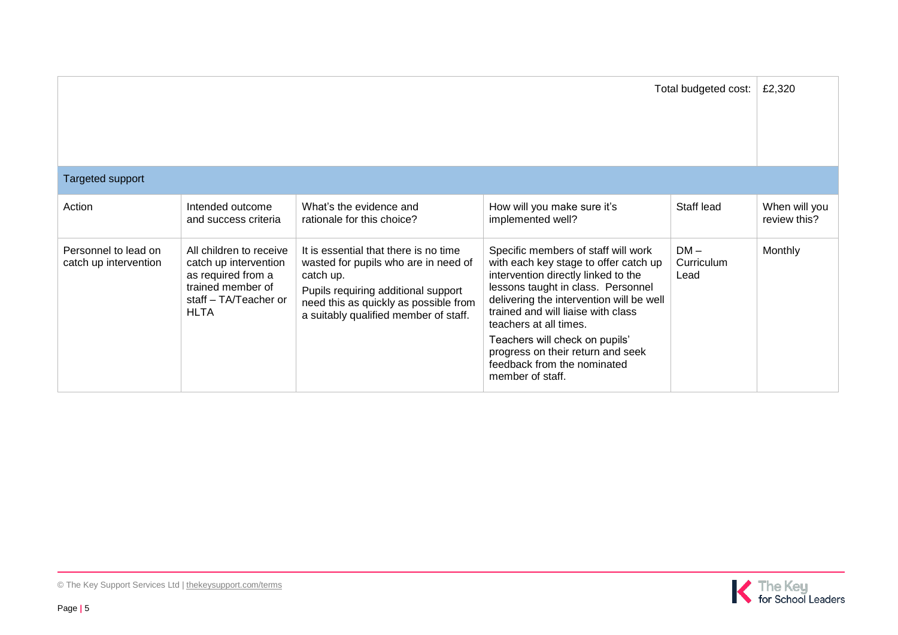| Total budgeted cost:                          |                                                                                                                                     |                                                                                                                                                                                                                     |                                                                                                                                                                                                                                                                                                                                                                                                 | £2,320                       |               |
|-----------------------------------------------|-------------------------------------------------------------------------------------------------------------------------------------|---------------------------------------------------------------------------------------------------------------------------------------------------------------------------------------------------------------------|-------------------------------------------------------------------------------------------------------------------------------------------------------------------------------------------------------------------------------------------------------------------------------------------------------------------------------------------------------------------------------------------------|------------------------------|---------------|
| <b>Targeted support</b>                       |                                                                                                                                     |                                                                                                                                                                                                                     |                                                                                                                                                                                                                                                                                                                                                                                                 |                              |               |
| Action                                        | Intended outcome                                                                                                                    | What's the evidence and                                                                                                                                                                                             | How will you make sure it's                                                                                                                                                                                                                                                                                                                                                                     | Staff lead                   | When will you |
|                                               | and success criteria                                                                                                                | rationale for this choice?                                                                                                                                                                                          | implemented well?                                                                                                                                                                                                                                                                                                                                                                               |                              | review this?  |
| Personnel to lead on<br>catch up intervention | All children to receive<br>catch up intervention<br>as required from a<br>trained member of<br>staff - TA/Teacher or<br><b>HLTA</b> | It is essential that there is no time<br>wasted for pupils who are in need of<br>catch up.<br>Pupils requiring additional support<br>need this as quickly as possible from<br>a suitably qualified member of staff. | Specific members of staff will work<br>with each key stage to offer catch up<br>intervention directly linked to the<br>lessons taught in class. Personnel<br>delivering the intervention will be well<br>trained and will liaise with class<br>teachers at all times.<br>Teachers will check on pupils'<br>progress on their return and seek<br>feedback from the nominated<br>member of staff. | $DM -$<br>Curriculum<br>Lead | Monthly       |